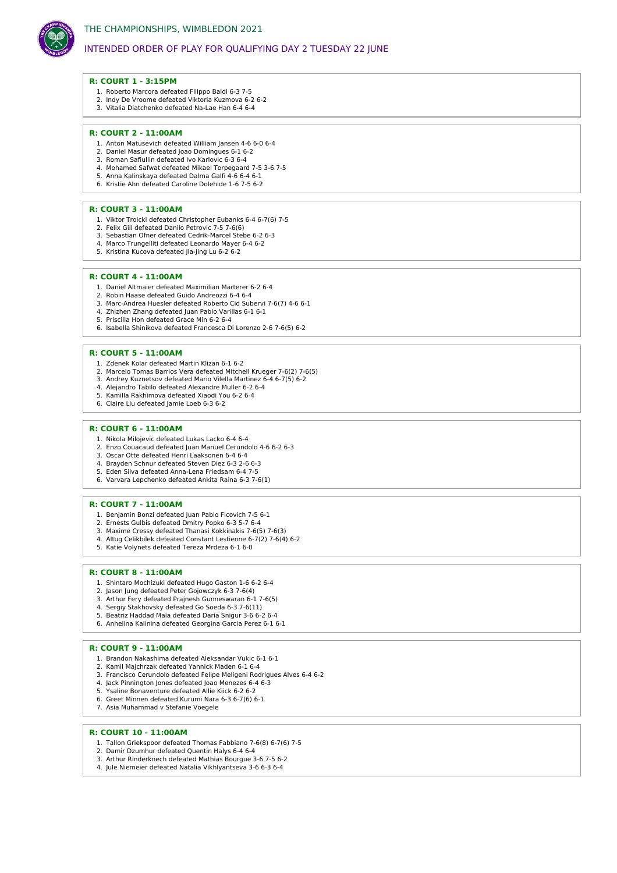

# INTENDED ORDER OF PLAY FOR QUALIFYING DAY 2 TUESDAY 22 JUNE

#### **R: COURT 1 - 3:15PM**

- 1. Roberto Marcora defeated Filippo Baldi 6-3 7-5
- 2. Indy De Vroome defeated Viktoria Kuzmova 6-2 6-2
- 3. Vitalia Diatchenko defeated Na-Lae Han 6-4 6-4

## **R: COURT 2 - 11:00AM**

- 1. Anton Matusevich defeated William Jansen 4-6 6-0 6-4
- 2. Daniel Masur defeated Joao Domingues 6-1 6-2 3. Roman Safiullin defeated Ivo Karlovic 6-3 6-4
- 4. Mohamed Safwat defeated Mikael Torpegaard 7-5 3-6 7-5
- 5. Anna Kalinskaya defeated Dalma Galfi 4-6 6-4 6-1
- 6. Kristie Ahn defeated Caroline Dolehide 1-6 7-5 6-2

#### **R: COURT 3 - 11:00AM**

- 1. Viktor Troicki defeated Christopher Eubanks 6-4 6-7(6) 7-5
- 2. Felix Gill defeated Danilo Petrovic 7-5 7-6(6)
- 3. Sebastian Ofner defeated Cedrik-Marcel Stebe 6-2 6-3 4. Marco Trungelliti defeated Leonardo Mayer 6-4 6-2
- 5. Kristina Kucova defeated Jia-Jing Lu 6-2 6-2

### **R: COURT 4 - 11:00AM**

- 1. Daniel Altmaier defeated Maximilian Marterer 6-2 6-4
- 2. Robin Haase defeated Guido Andreozzi 6-4 6-4
- 3. Marc-Andrea Huesler defeated Roberto Cid Subervi 7-6(7) 4-6 6-1
- 4. Zhizhen Zhang defeated Juan Pablo Varillas 6-1 6-1 5. Priscilla Hon defeated Grace Min 6-2 6-4
- 6. Isabella Shinikova defeated Francesca Di Lorenzo 2-6 7-6(5) 6-2

#### **R: COURT 5 - 11:00AM**

- 1. Zdenek Kolar defeated Martin Klizan 6-1 6-2
- 2. Marcelo Tomas Barrios Vera defeated Mitchell Krueger 7-6(2) 7-6(5)
- 3. Andrey Kuznetsov defeated Mario Vilella Martinez 6-4 6-7(5) 6-2
- 4. Alejandro Tabilo defeated Alexandre Muller 6-2 6-4 5. Kamilla Rakhimova defeated Xiaodi You 6-2 6-4
- 6. Claire Liu defeated Jamie Loeb 6-3 6-2
- 

## **R: COURT 6 - 11:00AM**

- 1. Nikola Milojevic defeated Lukas Lacko 6-4 6-4
- 2. Enzo Couacaud defeated Juan Manuel Cerundolo 4-6 6-2 6-3
- 3. Oscar Otte defeated Henri Laaksonen 6-4 6-4 4. Brayden Schnur defeated Steven Diez 6-3 2-6 6-3
- 5. Eden Silva defeated Anna-Lena Friedsam 6-4 7-5
- 6. Varvara Lepchenko defeated Ankita Raina 6-3 7-6(1)

#### **R: COURT 7 - 11:00AM**

- 1. Benjamin Bonzi defeated Juan Pablo Ficovich 7-5 6-1
- 2. Ernests Gulbis defeated Dmitry Popko 6-3 5-7 6-4
- 3. Maxime Cressy defeated Thanasi Kokkinakis 7-6(5) 7-6(3) 4. Altug Celikbilek defeated Constant Lestienne 6-7(2) 7-6(4) 6-2
- 5. Katie Volynets defeated Tereza Mrdeza 6-1 6-0
- 

## **R: COURT 8 - 11:00AM**

- 1. Shintaro Mochizuki defeated Hugo Gaston 1-6 6-2 6-4
- 2. Jason Jung defeated Peter Gojowczyk 6-3 7-6(4)
- 3. Arthur Fery defeated Prajnesh Gunneswaran 6-1 7-6(5)
- 4. Sergiy Stakhovsky defeated Go Soeda 6-3 7-6(11) 5. Beatriz Haddad Maia defeated Daria Snigur 3-6 6-2 6-4
- 6. Anhelina Kalinina defeated Georgina Garcia Perez 6-1 6-1
- 

# **R: COURT 9 - 11:00AM**

- 1. Brandon Nakashima defeated Aleksandar Vukic 6-1 6-1 2. Kamil Majchrzak defeated Yannick Maden 6-1 6-4
- 3. Francisco Cerundolo defeated Felipe Meligeni Rodrigues Alves 6-4 6-2
- 4. Jack Pinnington Jones defeated Joao Menezes 6-4 6-3
- 5. Ysaline Bonaventure defeated Allie Kiick 6-2 6-2
- 6. Greet Minnen defeated Kurumi Nara 6-3 6-7(6) 6-1
- 7. Asia Muhammad v Stefanie Voegele

#### **R: COURT 10 - 11:00AM**

- 1. Tallon Griekspoor defeated Thomas Fabbiano 7-6(8) 6-7(6) 7-5
- 2. Damir Dzumhur defeated Quentin Halys 6-4 6-4 3. Arthur Rinderknech defeated Mathias Bourgue 3-6 7-5 6-2
- 4. Jule Niemeier defeated Natalia Vikhlyantseva 3-6 6-3 6-4